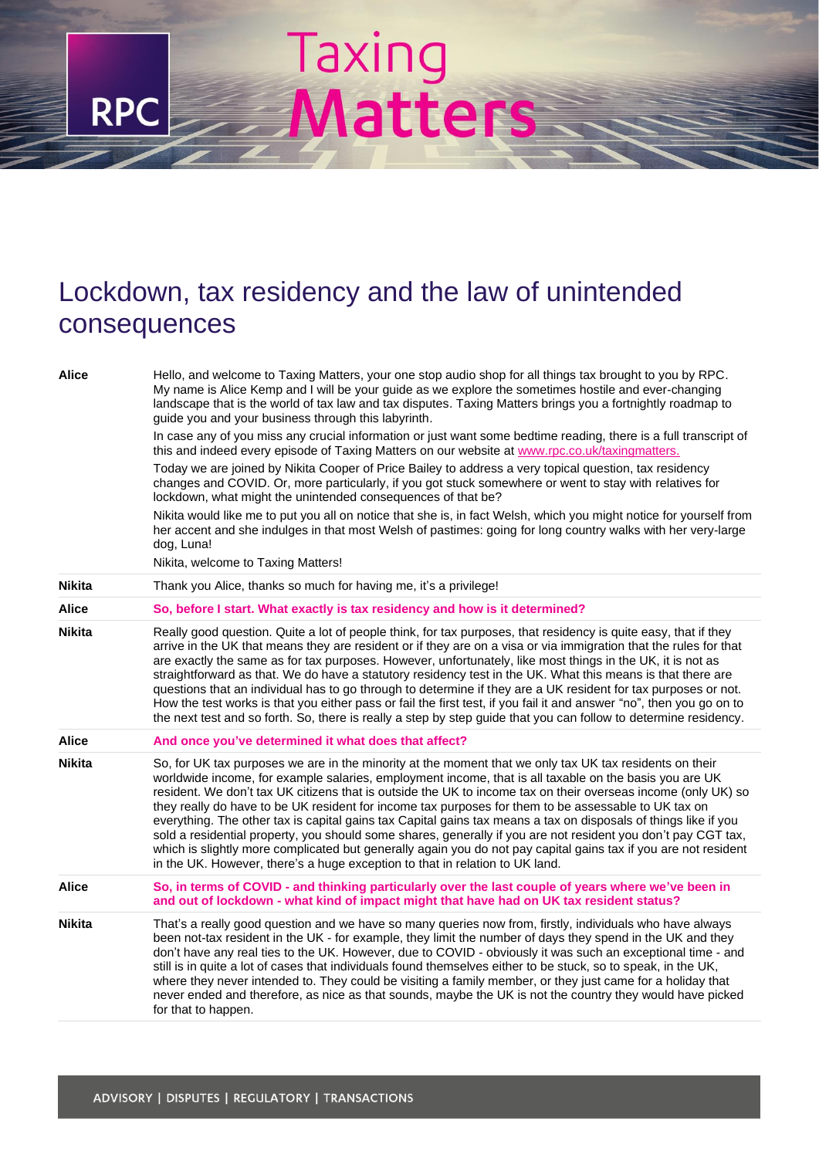## Taxing<br>Matters

**RPC** 

## Lockdown, tax residency and the law of unintended consequences

| <b>Alice</b>  | Hello, and welcome to Taxing Matters, your one stop audio shop for all things tax brought to you by RPC.<br>My name is Alice Kemp and I will be your guide as we explore the sometimes hostile and ever-changing<br>landscape that is the world of tax law and tax disputes. Taxing Matters brings you a fortnightly roadmap to<br>guide you and your business through this labyrinth.                                                                                                                                                                                                                                                                                                                                                                                                                                                                                            |
|---------------|-----------------------------------------------------------------------------------------------------------------------------------------------------------------------------------------------------------------------------------------------------------------------------------------------------------------------------------------------------------------------------------------------------------------------------------------------------------------------------------------------------------------------------------------------------------------------------------------------------------------------------------------------------------------------------------------------------------------------------------------------------------------------------------------------------------------------------------------------------------------------------------|
|               | In case any of you miss any crucial information or just want some bedtime reading, there is a full transcript of<br>this and indeed every episode of Taxing Matters on our website at www.rpc.co.uk/taxingmatters.                                                                                                                                                                                                                                                                                                                                                                                                                                                                                                                                                                                                                                                                |
|               | Today we are joined by Nikita Cooper of Price Bailey to address a very topical question, tax residency<br>changes and COVID. Or, more particularly, if you got stuck somewhere or went to stay with relatives for<br>lockdown, what might the unintended consequences of that be?                                                                                                                                                                                                                                                                                                                                                                                                                                                                                                                                                                                                 |
|               | Nikita would like me to put you all on notice that she is, in fact Welsh, which you might notice for yourself from<br>her accent and she indulges in that most Welsh of pastimes: going for long country walks with her very-large<br>dog, Luna!                                                                                                                                                                                                                                                                                                                                                                                                                                                                                                                                                                                                                                  |
|               | Nikita, welcome to Taxing Matters!                                                                                                                                                                                                                                                                                                                                                                                                                                                                                                                                                                                                                                                                                                                                                                                                                                                |
| <b>Nikita</b> | Thank you Alice, thanks so much for having me, it's a privilege!                                                                                                                                                                                                                                                                                                                                                                                                                                                                                                                                                                                                                                                                                                                                                                                                                  |
| Alice         | So, before I start. What exactly is tax residency and how is it determined?                                                                                                                                                                                                                                                                                                                                                                                                                                                                                                                                                                                                                                                                                                                                                                                                       |
| <b>Nikita</b> | Really good question. Quite a lot of people think, for tax purposes, that residency is quite easy, that if they<br>arrive in the UK that means they are resident or if they are on a visa or via immigration that the rules for that<br>are exactly the same as for tax purposes. However, unfortunately, like most things in the UK, it is not as<br>straightforward as that. We do have a statutory residency test in the UK. What this means is that there are<br>questions that an individual has to go through to determine if they are a UK resident for tax purposes or not.<br>How the test works is that you either pass or fail the first test, if you fail it and answer "no", then you go on to<br>the next test and so forth. So, there is really a step by step guide that you can follow to determine residency.                                                   |
| Alice         | And once you've determined it what does that affect?                                                                                                                                                                                                                                                                                                                                                                                                                                                                                                                                                                                                                                                                                                                                                                                                                              |
| <b>Nikita</b> | So, for UK tax purposes we are in the minority at the moment that we only tax UK tax residents on their<br>worldwide income, for example salaries, employment income, that is all taxable on the basis you are UK<br>resident. We don't tax UK citizens that is outside the UK to income tax on their overseas income (only UK) so<br>they really do have to be UK resident for income tax purposes for them to be assessable to UK tax on<br>everything. The other tax is capital gains tax Capital gains tax means a tax on disposals of things like if you<br>sold a residential property, you should some shares, generally if you are not resident you don't pay CGT tax,<br>which is slightly more complicated but generally again you do not pay capital gains tax if you are not resident<br>in the UK. However, there's a huge exception to that in relation to UK land. |
| <b>Alice</b>  | So, in terms of COVID - and thinking particularly over the last couple of years where we've been in<br>and out of lockdown - what kind of impact might that have had on UK tax resident status?                                                                                                                                                                                                                                                                                                                                                                                                                                                                                                                                                                                                                                                                                   |
| <b>Nikita</b> | That's a really good question and we have so many queries now from, firstly, individuals who have always<br>been not-tax resident in the UK - for example, they limit the number of days they spend in the UK and they<br>don't have any real ties to the UK. However, due to COVID - obviously it was such an exceptional time - and<br>still is in quite a lot of cases that individuals found themselves either to be stuck, so to speak, in the UK,<br>where they never intended to. They could be visiting a family member, or they just came for a holiday that<br>never ended and therefore, as nice as that sounds, maybe the UK is not the country they would have picked<br>for that to happen.                                                                                                                                                                         |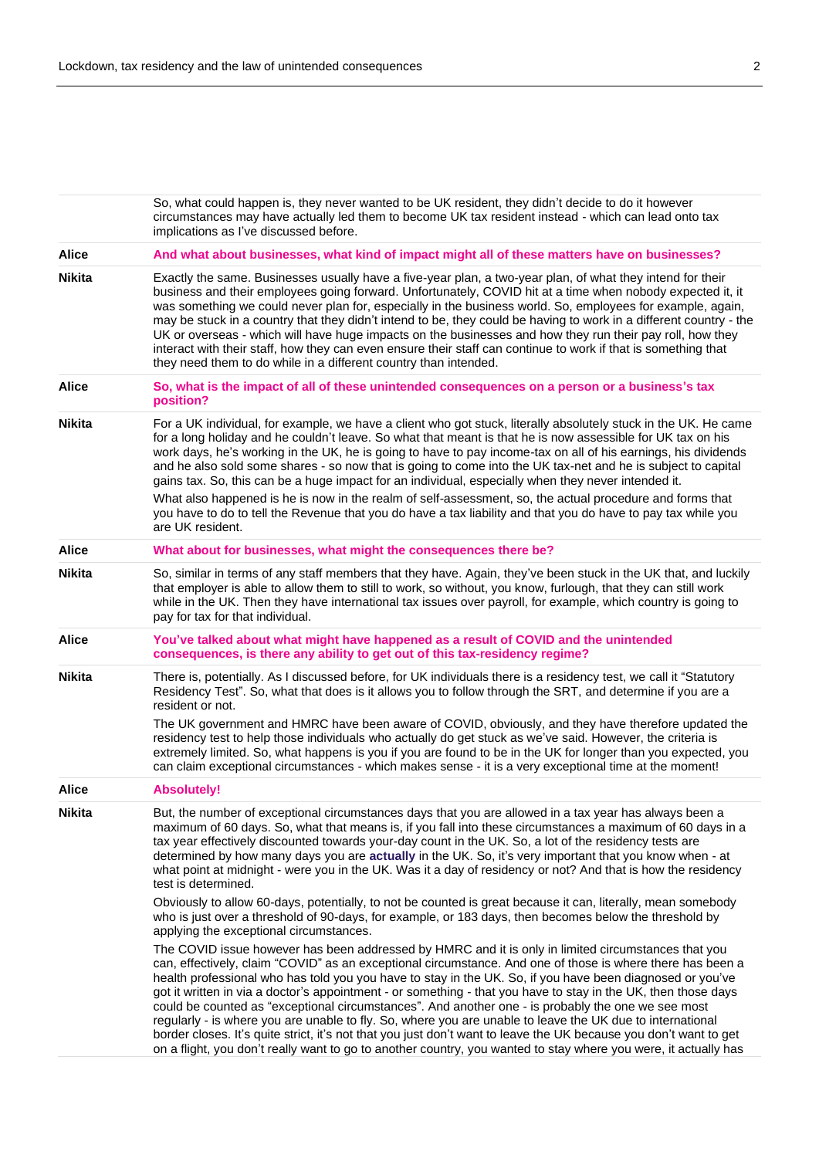|               | So, what could happen is, they never wanted to be UK resident, they didn't decide to do it however<br>circumstances may have actually led them to become UK tax resident instead - which can lead onto tax<br>implications as I've discussed before.                                                                                                                                                                                                                                                                                                                                                                                                                                                                                                                                                                                                                                                        |
|---------------|-------------------------------------------------------------------------------------------------------------------------------------------------------------------------------------------------------------------------------------------------------------------------------------------------------------------------------------------------------------------------------------------------------------------------------------------------------------------------------------------------------------------------------------------------------------------------------------------------------------------------------------------------------------------------------------------------------------------------------------------------------------------------------------------------------------------------------------------------------------------------------------------------------------|
| <b>Alice</b>  | And what about businesses, what kind of impact might all of these matters have on businesses?                                                                                                                                                                                                                                                                                                                                                                                                                                                                                                                                                                                                                                                                                                                                                                                                               |
| <b>Nikita</b> | Exactly the same. Businesses usually have a five-year plan, a two-year plan, of what they intend for their<br>business and their employees going forward. Unfortunately, COVID hit at a time when nobody expected it, it<br>was something we could never plan for, especially in the business world. So, employees for example, again,<br>may be stuck in a country that they didn't intend to be, they could be having to work in a different country - the<br>UK or overseas - which will have huge impacts on the businesses and how they run their pay roll, how they<br>interact with their staff, how they can even ensure their staff can continue to work if that is something that<br>they need them to do while in a different country than intended.                                                                                                                                             |
| <b>Alice</b>  | So, what is the impact of all of these unintended consequences on a person or a business's tax<br>position?                                                                                                                                                                                                                                                                                                                                                                                                                                                                                                                                                                                                                                                                                                                                                                                                 |
| <b>Nikita</b> | For a UK individual, for example, we have a client who got stuck, literally absolutely stuck in the UK. He came<br>for a long holiday and he couldn't leave. So what that meant is that he is now assessible for UK tax on his<br>work days, he's working in the UK, he is going to have to pay income-tax on all of his earnings, his dividends<br>and he also sold some shares - so now that is going to come into the UK tax-net and he is subject to capital<br>gains tax. So, this can be a huge impact for an individual, especially when they never intended it.<br>What also happened is he is now in the realm of self-assessment, so, the actual procedure and forms that<br>you have to do to tell the Revenue that you do have a tax liability and that you do have to pay tax while you<br>are UK resident.                                                                                    |
| <b>Alice</b>  | What about for businesses, what might the consequences there be?                                                                                                                                                                                                                                                                                                                                                                                                                                                                                                                                                                                                                                                                                                                                                                                                                                            |
| <b>Nikita</b> | So, similar in terms of any staff members that they have. Again, they've been stuck in the UK that, and luckily<br>that employer is able to allow them to still to work, so without, you know, furlough, that they can still work<br>while in the UK. Then they have international tax issues over payroll, for example, which country is going to<br>pay for tax for that individual.                                                                                                                                                                                                                                                                                                                                                                                                                                                                                                                      |
| <b>Alice</b>  | You've talked about what might have happened as a result of COVID and the unintended<br>consequences, is there any ability to get out of this tax-residency regime?                                                                                                                                                                                                                                                                                                                                                                                                                                                                                                                                                                                                                                                                                                                                         |
| <b>Nikita</b> | There is, potentially. As I discussed before, for UK individuals there is a residency test, we call it "Statutory<br>Residency Test". So, what that does is it allows you to follow through the SRT, and determine if you are a<br>resident or not.<br>The UK government and HMRC have been aware of COVID, obviously, and they have therefore updated the                                                                                                                                                                                                                                                                                                                                                                                                                                                                                                                                                  |
|               | residency test to help those individuals who actually do get stuck as we've said. However, the criteria is<br>extremely limited. So, what happens is you if you are found to be in the UK for longer than you expected, you<br>can claim exceptional circumstances - which makes sense - it is a very exceptional time at the moment!                                                                                                                                                                                                                                                                                                                                                                                                                                                                                                                                                                       |
| <b>Alice</b>  | <b>Absolutely!</b>                                                                                                                                                                                                                                                                                                                                                                                                                                                                                                                                                                                                                                                                                                                                                                                                                                                                                          |
| <b>Nikita</b> | But, the number of exceptional circumstances days that you are allowed in a tax year has always been a<br>maximum of 60 days. So, what that means is, if you fall into these circumstances a maximum of 60 days in a<br>tax year effectively discounted towards your-day count in the UK. So, a lot of the residency tests are<br>determined by how many days you are actually in the UK. So, it's very important that you know when - at<br>what point at midnight - were you in the UK. Was it a day of residency or not? And that is how the residency<br>test is determined.                                                                                                                                                                                                                                                                                                                            |
|               | Obviously to allow 60-days, potentially, to not be counted is great because it can, literally, mean somebody<br>who is just over a threshold of 90-days, for example, or 183 days, then becomes below the threshold by<br>applying the exceptional circumstances.                                                                                                                                                                                                                                                                                                                                                                                                                                                                                                                                                                                                                                           |
|               | The COVID issue however has been addressed by HMRC and it is only in limited circumstances that you<br>can, effectively, claim "COVID" as an exceptional circumstance. And one of those is where there has been a<br>health professional who has told you you have to stay in the UK. So, if you have been diagnosed or you've<br>got it written in via a doctor's appointment - or something - that you have to stay in the UK, then those days<br>could be counted as "exceptional circumstances". And another one - is probably the one we see most<br>regularly - is where you are unable to fly. So, where you are unable to leave the UK due to international<br>border closes. It's quite strict, it's not that you just don't want to leave the UK because you don't want to get<br>on a flight, you don't really want to go to another country, you wanted to stay where you were, it actually has |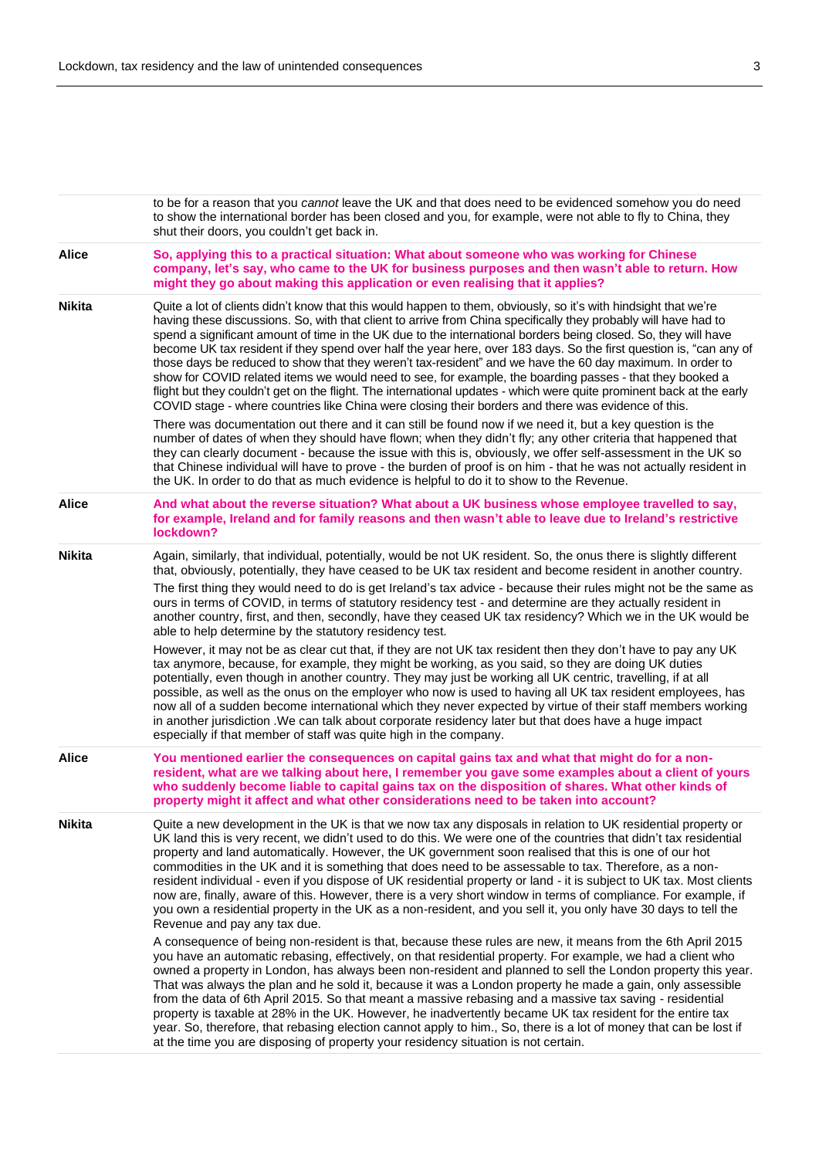|               | to be for a reason that you cannot leave the UK and that does need to be evidenced somehow you do need<br>to show the international border has been closed and you, for example, were not able to fly to China, they<br>shut their doors, you couldn't get back in.                                                                                                                                                                                                                                                                                                                                                                                                                                                                                                                                                                                                                                                                |
|---------------|------------------------------------------------------------------------------------------------------------------------------------------------------------------------------------------------------------------------------------------------------------------------------------------------------------------------------------------------------------------------------------------------------------------------------------------------------------------------------------------------------------------------------------------------------------------------------------------------------------------------------------------------------------------------------------------------------------------------------------------------------------------------------------------------------------------------------------------------------------------------------------------------------------------------------------|
| <b>Alice</b>  | So, applying this to a practical situation: What about someone who was working for Chinese<br>company, let's say, who came to the UK for business purposes and then wasn't able to return. How<br>might they go about making this application or even realising that it applies?                                                                                                                                                                                                                                                                                                                                                                                                                                                                                                                                                                                                                                                   |
| <b>Nikita</b> | Quite a lot of clients didn't know that this would happen to them, obviously, so it's with hindsight that we're<br>having these discussions. So, with that client to arrive from China specifically they probably will have had to<br>spend a significant amount of time in the UK due to the international borders being closed. So, they will have<br>become UK tax resident if they spend over half the year here, over 183 days. So the first question is, "can any of<br>those days be reduced to show that they weren't tax-resident" and we have the 60 day maximum. In order to<br>show for COVID related items we would need to see, for example, the boarding passes - that they booked a<br>flight but they couldn't get on the flight. The international updates - which were quite prominent back at the early<br>COVID stage - where countries like China were closing their borders and there was evidence of this. |
|               | There was documentation out there and it can still be found now if we need it, but a key question is the<br>number of dates of when they should have flown; when they didn't fly; any other criteria that happened that<br>they can clearly document - because the issue with this is, obviously, we offer self-assessment in the UK so<br>that Chinese individual will have to prove - the burden of proof is on him - that he was not actually resident in<br>the UK. In order to do that as much evidence is helpful to do it to show to the Revenue.                                                                                                                                                                                                                                                                                                                                                                           |
| <b>Alice</b>  | And what about the reverse situation? What about a UK business whose employee travelled to say,<br>for example, Ireland and for family reasons and then wasn't able to leave due to Ireland's restrictive<br>lockdown?                                                                                                                                                                                                                                                                                                                                                                                                                                                                                                                                                                                                                                                                                                             |
| <b>Nikita</b> | Again, similarly, that individual, potentially, would be not UK resident. So, the onus there is slightly different<br>that, obviously, potentially, they have ceased to be UK tax resident and become resident in another country.                                                                                                                                                                                                                                                                                                                                                                                                                                                                                                                                                                                                                                                                                                 |
|               | The first thing they would need to do is get Ireland's tax advice - because their rules might not be the same as<br>ours in terms of COVID, in terms of statutory residency test - and determine are they actually resident in<br>another country, first, and then, secondly, have they ceased UK tax residency? Which we in the UK would be<br>able to help determine by the statutory residency test.                                                                                                                                                                                                                                                                                                                                                                                                                                                                                                                            |
|               | However, it may not be as clear cut that, if they are not UK tax resident then they don't have to pay any UK<br>tax anymore, because, for example, they might be working, as you said, so they are doing UK duties<br>potentially, even though in another country. They may just be working all UK centric, travelling, if at all<br>possible, as well as the onus on the employer who now is used to having all UK tax resident employees, has<br>now all of a sudden become international which they never expected by virtue of their staff members working<br>in another jurisdiction . We can talk about corporate residency later but that does have a huge impact<br>especially if that member of staff was quite high in the company.                                                                                                                                                                                      |
| <b>Alice</b>  | You mentioned earlier the consequences on capital gains tax and what that might do for a non-<br>resident, what are we talking about here, I remember you gave some examples about a client of yours<br>who suddenly become liable to capital gains tax on the disposition of shares. What other kinds of<br>property might it affect and what other considerations need to be taken into account?                                                                                                                                                                                                                                                                                                                                                                                                                                                                                                                                 |
| <b>Nikita</b> | Quite a new development in the UK is that we now tax any disposals in relation to UK residential property or<br>UK land this is very recent, we didn't used to do this. We were one of the countries that didn't tax residential<br>property and land automatically. However, the UK government soon realised that this is one of our hot<br>commodities in the UK and it is something that does need to be assessable to tax. Therefore, as a non-<br>resident individual - even if you dispose of UK residential property or land - it is subject to UK tax. Most clients<br>now are, finally, aware of this. However, there is a very short window in terms of compliance. For example, if<br>you own a residential property in the UK as a non-resident, and you sell it, you only have 30 days to tell the<br>Revenue and pay any tax due.                                                                                    |
|               | A consequence of being non-resident is that, because these rules are new, it means from the 6th April 2015<br>you have an automatic rebasing, effectively, on that residential property. For example, we had a client who<br>owned a property in London, has always been non-resident and planned to sell the London property this year.<br>That was always the plan and he sold it, because it was a London property he made a gain, only assessible<br>from the data of 6th April 2015. So that meant a massive rebasing and a massive tax saving - residential<br>property is taxable at 28% in the UK. However, he inadvertently became UK tax resident for the entire tax<br>year. So, therefore, that rebasing election cannot apply to him., So, there is a lot of money that can be lost if<br>at the time you are disposing of property your residency situation is not certain.                                          |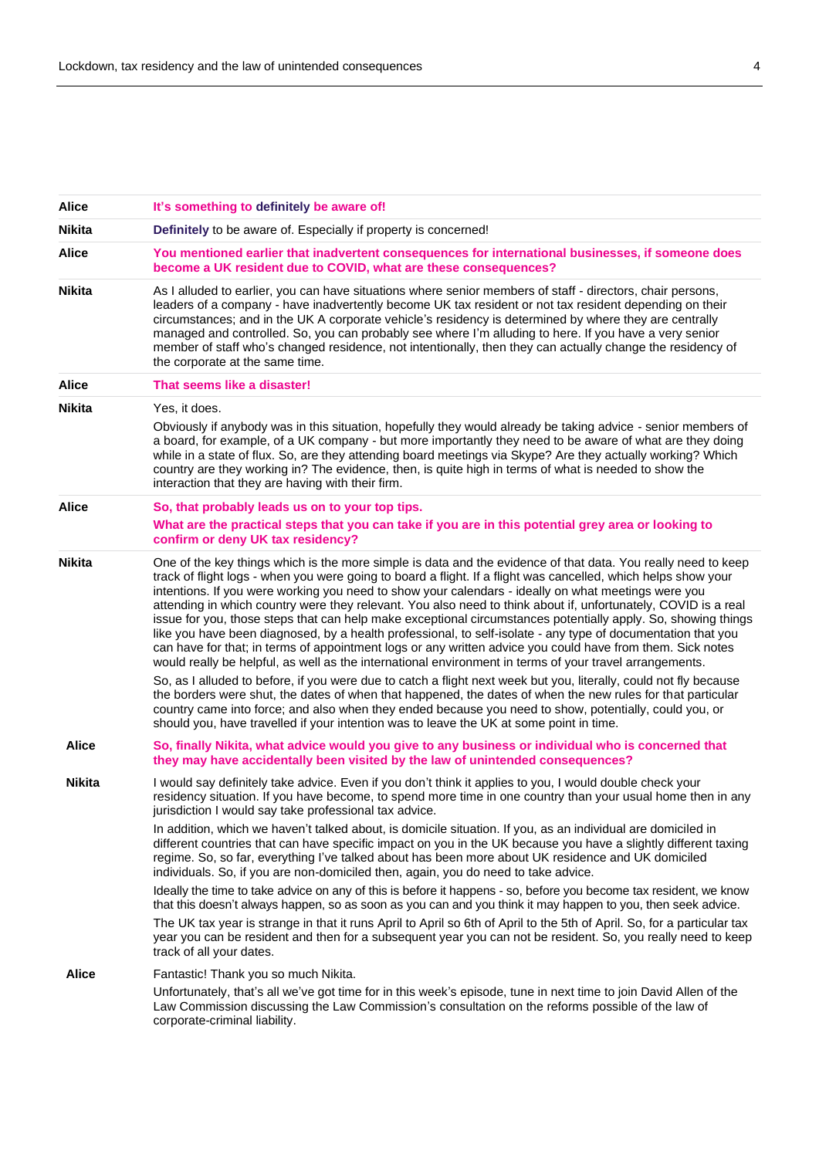| <b>Alice</b>  | It's something to definitely be aware of!                                                                                                                                                                                                                                                                                                                                                                                                                                                                                                                                                                                                                                                                                                                                                                                                                                                                                                                                                                                                                                                                                                              |
|---------------|--------------------------------------------------------------------------------------------------------------------------------------------------------------------------------------------------------------------------------------------------------------------------------------------------------------------------------------------------------------------------------------------------------------------------------------------------------------------------------------------------------------------------------------------------------------------------------------------------------------------------------------------------------------------------------------------------------------------------------------------------------------------------------------------------------------------------------------------------------------------------------------------------------------------------------------------------------------------------------------------------------------------------------------------------------------------------------------------------------------------------------------------------------|
| <b>Nikita</b> | Definitely to be aware of. Especially if property is concerned!                                                                                                                                                                                                                                                                                                                                                                                                                                                                                                                                                                                                                                                                                                                                                                                                                                                                                                                                                                                                                                                                                        |
| Alice         | You mentioned earlier that inadvertent consequences for international businesses, if someone does<br>become a UK resident due to COVID, what are these consequences?                                                                                                                                                                                                                                                                                                                                                                                                                                                                                                                                                                                                                                                                                                                                                                                                                                                                                                                                                                                   |
| <b>Nikita</b> | As I alluded to earlier, you can have situations where senior members of staff - directors, chair persons,<br>leaders of a company - have inadvertently become UK tax resident or not tax resident depending on their<br>circumstances; and in the UK A corporate vehicle's residency is determined by where they are centrally<br>managed and controlled. So, you can probably see where I'm alluding to here. If you have a very senior<br>member of staff who's changed residence, not intentionally, then they can actually change the residency of<br>the corporate at the same time.                                                                                                                                                                                                                                                                                                                                                                                                                                                                                                                                                             |
| <b>Alice</b>  | That seems like a disaster!                                                                                                                                                                                                                                                                                                                                                                                                                                                                                                                                                                                                                                                                                                                                                                                                                                                                                                                                                                                                                                                                                                                            |
| <b>Nikita</b> | Yes, it does.                                                                                                                                                                                                                                                                                                                                                                                                                                                                                                                                                                                                                                                                                                                                                                                                                                                                                                                                                                                                                                                                                                                                          |
|               | Obviously if anybody was in this situation, hopefully they would already be taking advice - senior members of<br>a board, for example, of a UK company - but more importantly they need to be aware of what are they doing<br>while in a state of flux. So, are they attending board meetings via Skype? Are they actually working? Which<br>country are they working in? The evidence, then, is quite high in terms of what is needed to show the<br>interaction that they are having with their firm.                                                                                                                                                                                                                                                                                                                                                                                                                                                                                                                                                                                                                                                |
| Alice         | So, that probably leads us on to your top tips.                                                                                                                                                                                                                                                                                                                                                                                                                                                                                                                                                                                                                                                                                                                                                                                                                                                                                                                                                                                                                                                                                                        |
|               | What are the practical steps that you can take if you are in this potential grey area or looking to<br>confirm or deny UK tax residency?                                                                                                                                                                                                                                                                                                                                                                                                                                                                                                                                                                                                                                                                                                                                                                                                                                                                                                                                                                                                               |
| <b>Nikita</b> | One of the key things which is the more simple is data and the evidence of that data. You really need to keep<br>track of flight logs - when you were going to board a flight. If a flight was cancelled, which helps show your<br>intentions. If you were working you need to show your calendars - ideally on what meetings were you<br>attending in which country were they relevant. You also need to think about if, unfortunately, COVID is a real<br>issue for you, those steps that can help make exceptional circumstances potentially apply. So, showing things<br>like you have been diagnosed, by a health professional, to self-isolate - any type of documentation that you<br>can have for that; in terms of appointment logs or any written advice you could have from them. Sick notes<br>would really be helpful, as well as the international environment in terms of your travel arrangements.<br>So, as I alluded to before, if you were due to catch a flight next week but you, literally, could not fly because<br>the borders were shut, the dates of when that happened, the dates of when the new rules for that particular |
|               | country came into force; and also when they ended because you need to show, potentially, could you, or<br>should you, have travelled if your intention was to leave the UK at some point in time.                                                                                                                                                                                                                                                                                                                                                                                                                                                                                                                                                                                                                                                                                                                                                                                                                                                                                                                                                      |
| <b>Alice</b>  | So, finally Nikita, what advice would you give to any business or individual who is concerned that<br>they may have accidentally been visited by the law of unintended consequences?                                                                                                                                                                                                                                                                                                                                                                                                                                                                                                                                                                                                                                                                                                                                                                                                                                                                                                                                                                   |
| Nikita        | I would say definitely take advice. Even if you don't think it applies to you, I would double check your<br>residency situation. If you have become, to spend more time in one country than your usual home then in any<br>jurisdiction I would say take professional tax advice.                                                                                                                                                                                                                                                                                                                                                                                                                                                                                                                                                                                                                                                                                                                                                                                                                                                                      |
|               | In addition, which we haven't talked about, is domicile situation. If you, as an individual are domiciled in<br>different countries that can have specific impact on you in the UK because you have a slightly different taxing<br>regime. So, so far, everything I've talked about has been more about UK residence and UK domiciled<br>individuals. So, if you are non-domiciled then, again, you do need to take advice.                                                                                                                                                                                                                                                                                                                                                                                                                                                                                                                                                                                                                                                                                                                            |
|               | Ideally the time to take advice on any of this is before it happens - so, before you become tax resident, we know<br>that this doesn't always happen, so as soon as you can and you think it may happen to you, then seek advice.                                                                                                                                                                                                                                                                                                                                                                                                                                                                                                                                                                                                                                                                                                                                                                                                                                                                                                                      |
|               | The UK tax year is strange in that it runs April to April so 6th of April to the 5th of April. So, for a particular tax<br>year you can be resident and then for a subsequent year you can not be resident. So, you really need to keep<br>track of all your dates.                                                                                                                                                                                                                                                                                                                                                                                                                                                                                                                                                                                                                                                                                                                                                                                                                                                                                    |
| Alice         | Fantastic! Thank you so much Nikita.                                                                                                                                                                                                                                                                                                                                                                                                                                                                                                                                                                                                                                                                                                                                                                                                                                                                                                                                                                                                                                                                                                                   |
|               | Unfortunately, that's all we've got time for in this week's episode, tune in next time to join David Allen of the<br>Law Commission discussing the Law Commission's consultation on the reforms possible of the law of<br>corporate-criminal liability.                                                                                                                                                                                                                                                                                                                                                                                                                                                                                                                                                                                                                                                                                                                                                                                                                                                                                                |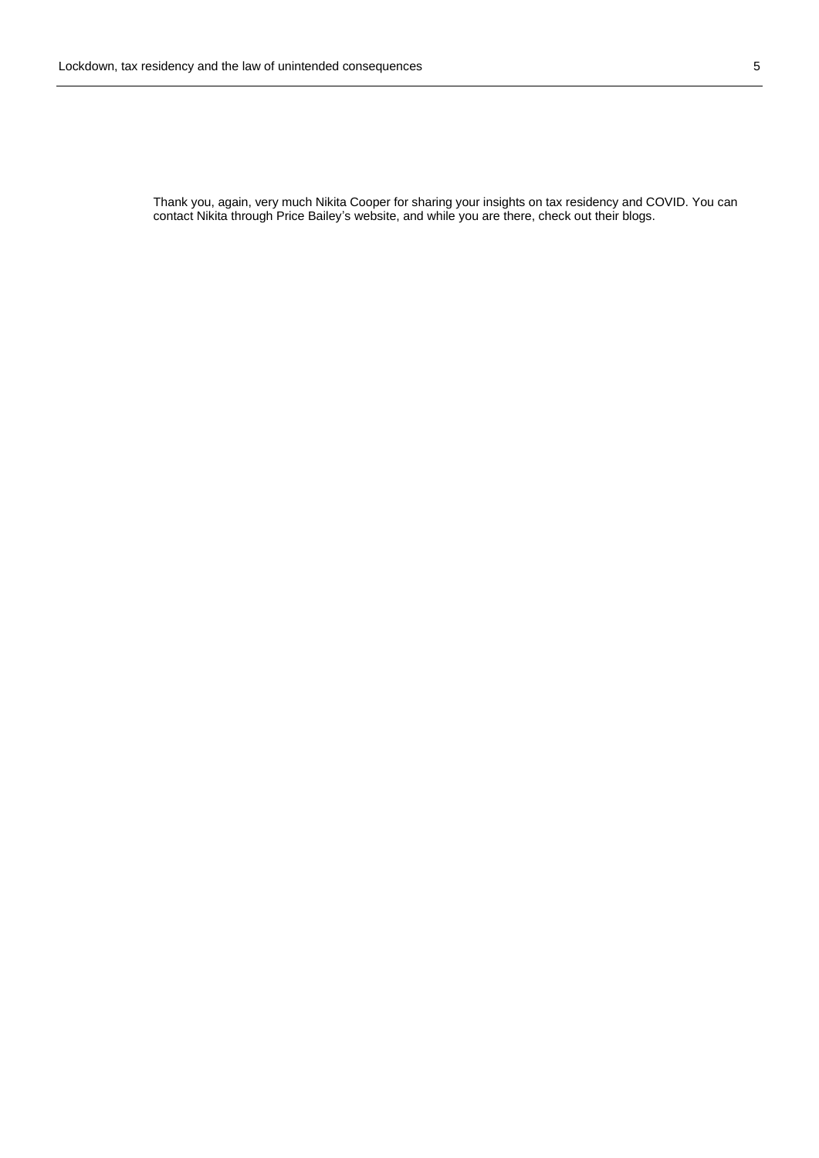Thank you, again, very much Nikita Cooper for sharing your insights on tax residency and COVID. You can contact Nikita through Price Bailey's website, and while you are there, check out their blogs.